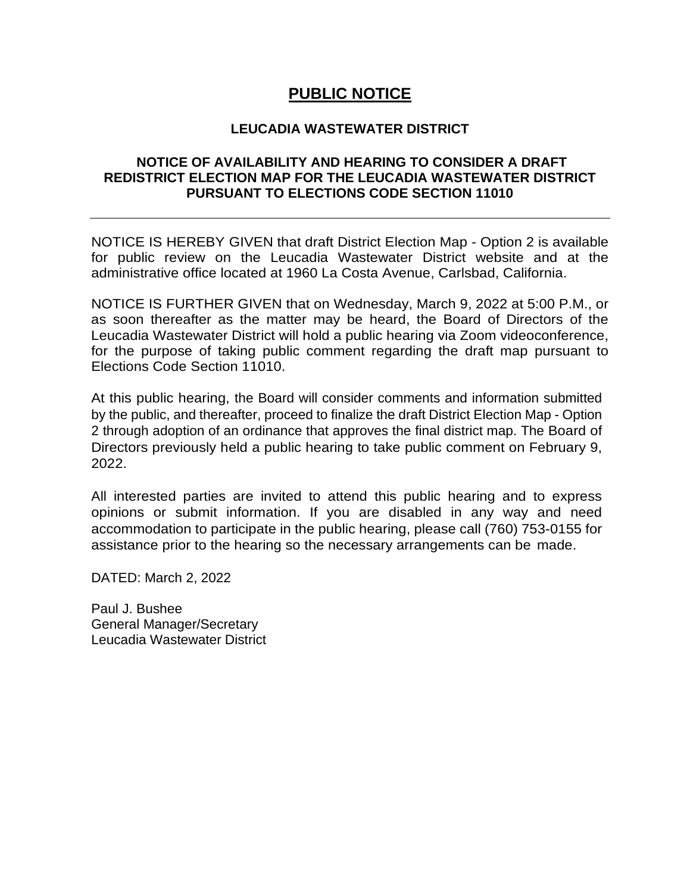## **PUBLIC NOTICE**

## **LEUCADIA WASTEWATER DISTRICT**

## **NOTICE OF AVAILABILITY AND HEARING TO CONSIDER A DRAFT REDISTRICT ELECTION MAP FOR THE LEUCADIA WASTEWATER DISTRICT PURSUANT TO ELECTIONS CODE SECTION 11010**

NOTICE IS HEREBY GIVEN that draft District Election Map - Option 2 is available for public review on the Leucadia Wastewater District website and at the administrative office located at 1960 La Costa Avenue, Carlsbad, California.

NOTICE IS FURTHER GIVEN that on Wednesday, March 9, 2022 at 5:00 P.M., or as soon thereafter as the matter may be heard, the Board of Directors of the Leucadia Wastewater District will hold a public hearing via Zoom videoconference, for the purpose of taking public comment regarding the draft map pursuant to Elections Code Section 11010.

At this public hearing, the Board will consider comments and information submitted by the public, and thereafter, proceed to finalize the draft District Election Map - Option 2 through adoption of an ordinance that approves the final district map. The Board of Directors previously held a public hearing to take public comment on February 9, 2022.

All interested parties are invited to attend this public hearing and to express opinions or submit information. If you are disabled in any way and need accommodation to participate in the public hearing, please call (760) 753-0155 for assistance prior to the hearing so the necessary arrangements can be made.

DATED: March 2, 2022

Paul J. Bushee General Manager/Secretary Leucadia Wastewater District